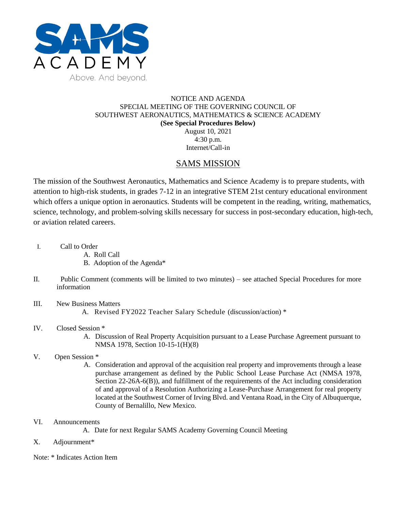

## NOTICE AND AGENDA SPECIAL MEETING OF THE GOVERNING COUNCIL OF SOUTHWEST AERONAUTICS, MATHEMATICS & SCIENCE ACADEMY **(See Special Procedures Below)** August 10, 2021

4:30 p.m. Internet/Call-in

## SAMS MISSION

The mission of the Southwest Aeronautics, Mathematics and Science Academy is to prepare students, with attention to high-risk students, in grades 7-12 in an integrative STEM 21st century educational environment which offers a unique option in aeronautics. Students will be competent in the reading, writing, mathematics, science, technology, and problem-solving skills necessary for success in post-secondary education, high-tech, or aviation related careers.

- I. Call to Order
	- A. Roll Call
	- B. Adoption of the Agenda\*
- II. Public Comment (comments will be limited to two minutes) see attached Special Procedures for more information
- III. New Business Matters
	- A. Revised FY2022 Teacher Salary Schedule (discussion/action) \*
- IV. Closed Session \*
	- A. Discussion of Real Property Acquisition pursuant to a Lease Purchase Agreement pursuant to NMSA 1978, Section 10-15-1(H)(8)
- V. Open Session \*
	- A. Consideration and approval of the acquisition real property and improvements through a lease purchase arrangement as defined by the Public School Lease Purchase Act (NMSA 1978, Section 22-26A-6(B)), and fulfillment of the requirements of the Act including consideration of and approval of a Resolution Authorizing a Lease-Purchase Arrangement for real property located at the Southwest Corner of Irving Blvd. and Ventana Road, in the City of Albuquerque, County of Bernalillo, New Mexico.
- VI. Announcements
	- A. Date for next Regular SAMS Academy Governing Council Meeting
- X. Adjournment\*
- Note: \* Indicates Action Item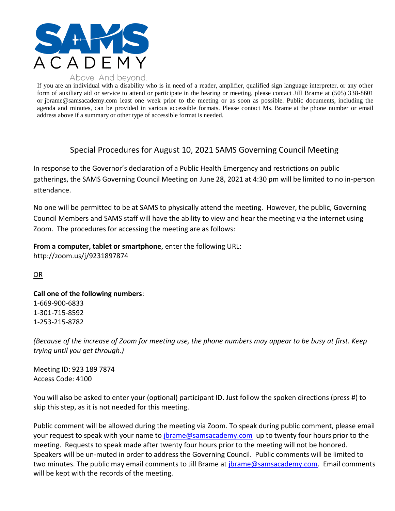

If you are an individual with a disability who is in need of a reader, amplifier, qualified sign language interpreter, or any other form of auxiliary aid or service to attend or participate in the hearing or meeting, please contact Jill Brame at (505) 338-8601 or jbrame@samsacademy.com least one week prior to the meeting or as soon as possible. Public documents, including the agenda and minutes, can be provided in various accessible formats. Please contact Ms. Brame at the phone number or email address above if a summary or other type of accessible format is needed.

## Special Procedures for August 10, 2021 SAMS Governing Council Meeting

In response to the Governor's declaration of a Public Health Emergency and restrictions on public gatherings, the SAMS Governing Council Meeting on June 28, 2021 at 4:30 pm will be limited to no in-person attendance.

No one will be permitted to be at SAMS to physically attend the meeting. However, the public, Governing Council Members and SAMS staff will have the ability to view and hear the meeting via the internet using Zoom. The procedures for accessing the meeting are as follows:

**From a computer, tablet or smartphone**, enter the following URL: http://zoom.us/j/9231897874

OR

**Call one of the following numbers**: 1-669-900-6833 1-301-715-8592 1-253-215-8782

*(Because of the increase of Zoom for meeting use, the phone numbers may appear to be busy at first. Keep trying until you get through.)*

Meeting ID: 923 189 7874 Access Code: 4100

You will also be asked to enter your (optional) participant ID. Just follow the spoken directions (press #) to skip this step, as it is not needed for this meeting.

Public comment will be allowed during the meeting via Zoom. To speak during public comment, please email your request to speak with your name to *jbrame@samsacademy.com* up to twenty four hours prior to the meeting. Requests to speak made after twenty four hours prior to the meeting will not be honored. Speakers will be un-muted in order to address the Governing Council. Public comments will be limited to two minutes. The public may email comments to Jill Brame at *jbrame@samsacademy.com*. Email comments will be kept with the records of the meeting.